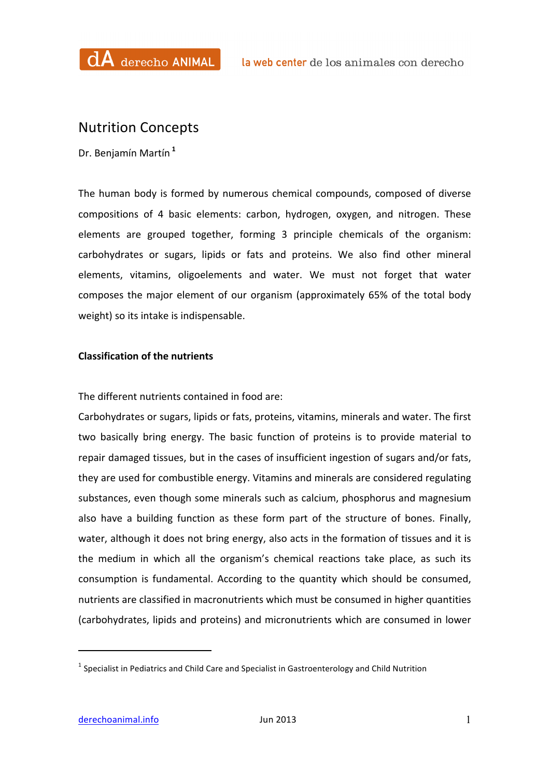## Nutrition Concepts

Dr. Benjamín Martín **<sup>1</sup>**

The human body is formed by numerous chemical compounds, composed of diverse compositions of 4 basic elements: carbon, hydrogen, oxygen, and nitrogen. These elements are grouped together, forming 3 principle chemicals of the organism: carbohydrates or sugars, lipids or fats and proteins. We also find other mineral elements, vitamins, oligoelements and water. We must not forget that water composes the major element of our organism (approximately 65% of the total body weight) so its intake is indispensable.

## **Classification of the nutrients**

The different nutrients contained in food are:

Carbohydrates or sugars, lipids or fats, proteins, vitamins, minerals and water. The first two basically bring energy. The basic function of proteins is to provide material to repair damaged tissues, but in the cases of insufficient ingestion of sugars and/or fats, they are used for combustible energy. Vitamins and minerals are considered regulating substances, even though some minerals such as calcium, phosphorus and magnesium also have a building function as these form part of the structure of bones. Finally, water, although it does not bring energy, also acts in the formation of tissues and it is the medium in which all the organism's chemical reactions take place, as such its consumption is fundamental. According to the quantity which should be consumed, nutrients are classified in macronutrients which must be consumed in higher quantities (carbohydrates, lipids and proteins) and micronutrients which are consumed in lower

 

 $1$  Specialist in Pediatrics and Child Care and Specialist in Gastroenterology and Child Nutrition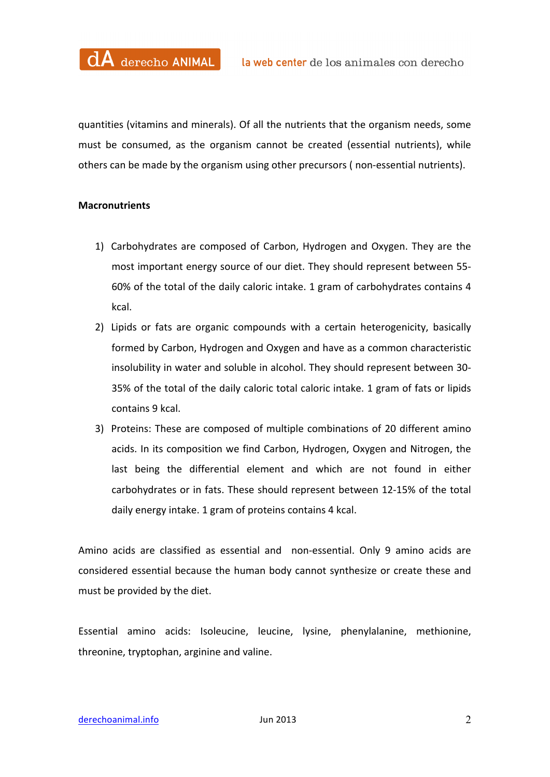quantities (vitamins and minerals). Of all the nutrients that the organism needs, some must be consumed, as the organism cannot be created (essential nutrients), while others can be made by the organism using other precursors (non-essential nutrients).

## **Macronutrients**

- 1) Carbohydrates are composed of Carbon, Hydrogen and Oxygen. They are the most important energy source of our diet. They should represent between 55-60% of the total of the daily caloric intake. 1 gram of carbohydrates contains 4 kcal.
- 2) Lipids or fats are organic compounds with a certain heterogenicity, basically formed by Carbon, Hydrogen and Oxygen and have as a common characteristic insolubility in water and soluble in alcohol. They should represent between 30-35% of the total of the daily caloric total caloric intake. 1 gram of fats or lipids contains 9 kcal.
- 3) Proteins: These are composed of multiple combinations of 20 different amino acids. In its composition we find Carbon, Hydrogen, Oxygen and Nitrogen, the last being the differential element and which are not found in either carbohydrates or in fats. These should represent between 12-15% of the total daily energy intake. 1 gram of proteins contains 4 kcal.

Amino acids are classified as essential and non-essential. Only 9 amino acids are considered essential because the human body cannot synthesize or create these and must be provided by the diet.

Essential amino acids: Isoleucine, leucine, lysine, phenylalanine, methionine, threonine, tryptophan, arginine and valine.